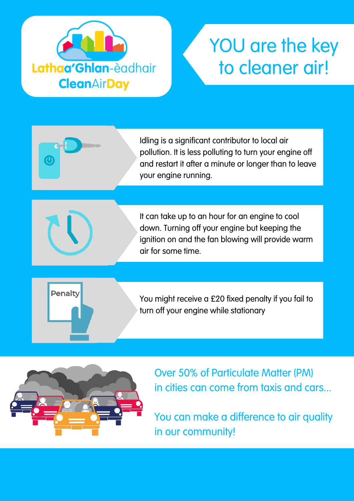

## YOU are the key to cleaner air!

Idling is a significant contributor to local air pollution. It is less polluting to turn your engine off and restart it after a minute or longer than to leave your engine running.

It can take up to an hour for an engine to cool down. Turning off your engine but keeping the ignition on and the fan blowing will provide warm air for some time.



 $\overline{\textbf{c}}$ 

You might receive a £20 fixed penalty if you fail to turn off your engine while stationary



Over 50% of Particulate Matter (PM) in cities can come from taxis and cars...

You can make a difference to air quality in our community!